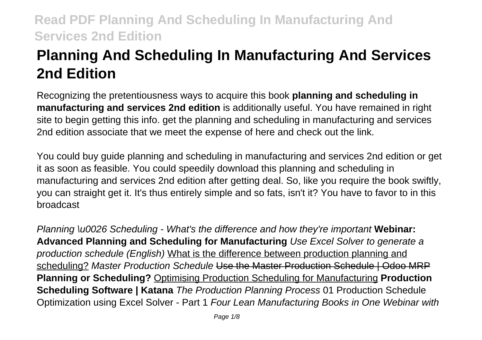# **Planning And Scheduling In Manufacturing And Services 2nd Edition**

Recognizing the pretentiousness ways to acquire this book **planning and scheduling in manufacturing and services 2nd edition** is additionally useful. You have remained in right site to begin getting this info. get the planning and scheduling in manufacturing and services 2nd edition associate that we meet the expense of here and check out the link.

You could buy guide planning and scheduling in manufacturing and services 2nd edition or get it as soon as feasible. You could speedily download this planning and scheduling in manufacturing and services 2nd edition after getting deal. So, like you require the book swiftly, you can straight get it. It's thus entirely simple and so fats, isn't it? You have to favor to in this broadcast

Planning \u0026 Scheduling - What's the difference and how they're important **Webinar: Advanced Planning and Scheduling for Manufacturing** Use Excel Solver to generate a production schedule (English) What is the difference between production planning and scheduling? Master Production Schedule Use the Master Production Schedule | Odoo MRP **Planning or Scheduling?** Optimising Production Scheduling for Manufacturing **Production Scheduling Software | Katana** The Production Planning Process 01 Production Schedule Optimization using Excel Solver - Part 1 Four Lean Manufacturing Books in One Webinar with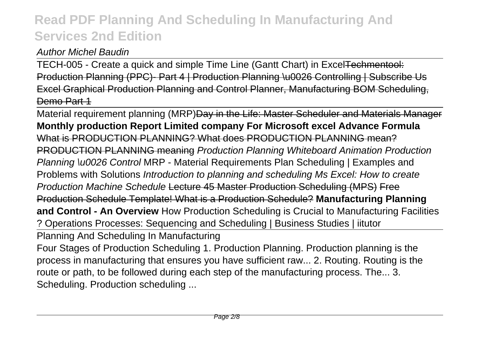#### Author Michel Baudin

TECH-005 - Create a quick and simple Time Line (Gantt Chart) in ExcelTechmentool: Production Planning (PPC)- Part 4 | Production Planning \u0026 Controlling | Subscribe Us Excel Graphical Production Planning and Control Planner, Manufacturing BOM Scheduling, Demo Part 1

Material requirement planning (MRP)Day in the Life: Master Scheduler and Materials Manager **Monthly production Report Limited company For Microsoft excel Advance Formula** What is PRODUCTION PLANNING? What does PRODUCTION PLANNING mean? PRODUCTION PLANNING meaning Production Planning Whiteboard Animation Production Planning \u0026 Control MRP - Material Requirements Plan Scheduling | Examples and Problems with Solutions Introduction to planning and scheduling Ms Excel: How to create Production Machine Schedule Lecture 45 Master Production Scheduling (MPS) Free Production Schedule Template! What is a Production Schedule? **Manufacturing Planning and Control - An Overview** How Production Scheduling is Crucial to Manufacturing Facilities ? Operations Processes: Sequencing and Scheduling | Business Studies | iitutor Planning And Scheduling In Manufacturing Four Stages of Production Scheduling 1. Production Planning. Production planning is the process in manufacturing that ensures you have sufficient raw... 2. Routing. Routing is the route or path, to be followed during each step of the manufacturing process. The... 3. Scheduling. Production scheduling ...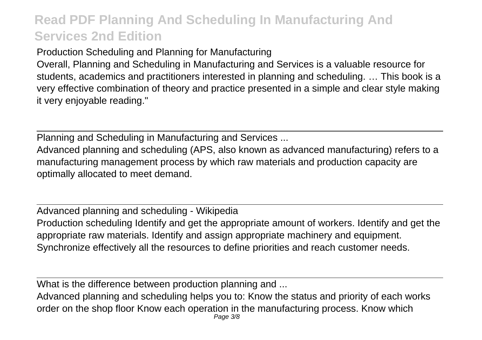Production Scheduling and Planning for Manufacturing

Overall, Planning and Scheduling in Manufacturing and Services is a valuable resource for students, academics and practitioners interested in planning and scheduling. … This book is a very effective combination of theory and practice presented in a simple and clear style making it very enjoyable reading."

Planning and Scheduling in Manufacturing and Services ...

Advanced planning and scheduling (APS, also known as advanced manufacturing) refers to a manufacturing management process by which raw materials and production capacity are optimally allocated to meet demand.

Advanced planning and scheduling - Wikipedia Production scheduling Identify and get the appropriate amount of workers. Identify and get the appropriate raw materials. Identify and assign appropriate machinery and equipment. Synchronize effectively all the resources to define priorities and reach customer needs.

What is the difference between production planning and ...

Advanced planning and scheduling helps you to: Know the status and priority of each works order on the shop floor Know each operation in the manufacturing process. Know which Page 3/8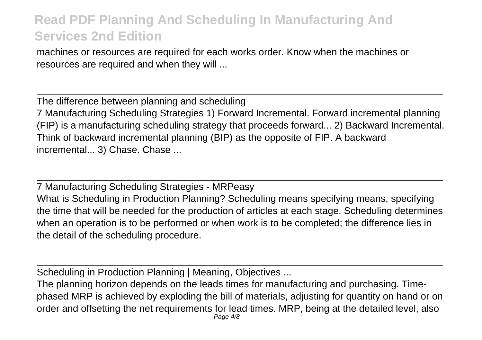machines or resources are required for each works order. Know when the machines or resources are required and when they will ...

The difference between planning and scheduling 7 Manufacturing Scheduling Strategies 1) Forward Incremental. Forward incremental planning (FIP) is a manufacturing scheduling strategy that proceeds forward... 2) Backward Incremental. Think of backward incremental planning (BIP) as the opposite of FIP. A backward incremental... 3) Chase. Chase ...

7 Manufacturing Scheduling Strategies - MRPeasy What is Scheduling in Production Planning? Scheduling means specifying means, specifying the time that will be needed for the production of articles at each stage. Scheduling determines when an operation is to be performed or when work is to be completed; the difference lies in the detail of the scheduling procedure.

Scheduling in Production Planning | Meaning, Objectives ...

The planning horizon depends on the leads times for manufacturing and purchasing. Timephased MRP is achieved by exploding the bill of materials, adjusting for quantity on hand or on order and offsetting the net requirements for lead times. MRP, being at the detailed level, also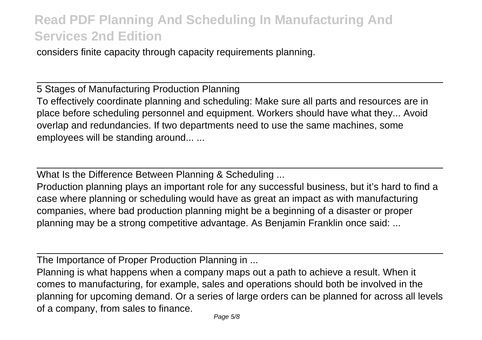considers finite capacity through capacity requirements planning.

5 Stages of Manufacturing Production Planning To effectively coordinate planning and scheduling: Make sure all parts and resources are in place before scheduling personnel and equipment. Workers should have what they... Avoid overlap and redundancies. If two departments need to use the same machines, some employees will be standing around... ...

What Is the Difference Between Planning & Scheduling ...

Production planning plays an important role for any successful business, but it's hard to find a case where planning or scheduling would have as great an impact as with manufacturing companies, where bad production planning might be a beginning of a disaster or proper planning may be a strong competitive advantage. As Benjamin Franklin once said: ...

The Importance of Proper Production Planning in ...

Planning is what happens when a company maps out a path to achieve a result. When it comes to manufacturing, for example, sales and operations should both be involved in the planning for upcoming demand. Or a series of large orders can be planned for across all levels of a company, from sales to finance.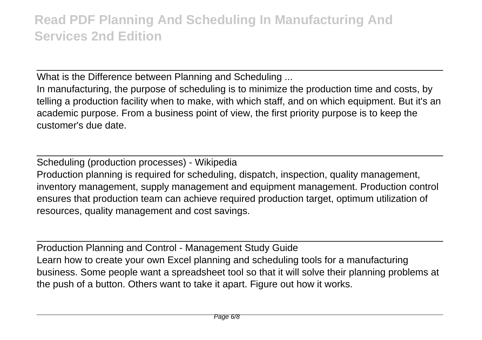What is the Difference between Planning and Scheduling ...

In manufacturing, the purpose of scheduling is to minimize the production time and costs, by telling a production facility when to make, with which staff, and on which equipment. But it's an academic purpose. From a business point of view, the first priority purpose is to keep the customer's due date.

Scheduling (production processes) - Wikipedia Production planning is required for scheduling, dispatch, inspection, quality management, inventory management, supply management and equipment management. Production control ensures that production team can achieve required production target, optimum utilization of resources, quality management and cost savings.

Production Planning and Control - Management Study Guide Learn how to create your own Excel planning and scheduling tools for a manufacturing business. Some people want a spreadsheet tool so that it will solve their planning problems at the push of a button. Others want to take it apart. Figure out how it works.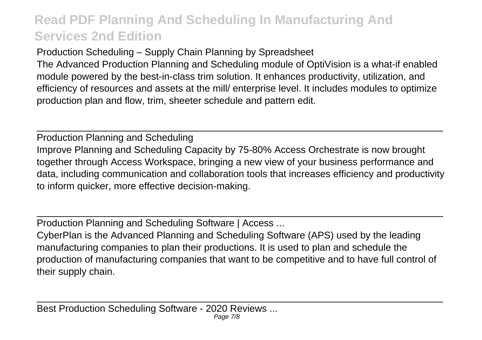Production Scheduling – Supply Chain Planning by Spreadsheet The Advanced Production Planning and Scheduling module of OptiVision is a what-if enabled module powered by the best-in-class trim solution. It enhances productivity, utilization, and efficiency of resources and assets at the mill/ enterprise level. It includes modules to optimize production plan and flow, trim, sheeter schedule and pattern edit.

Production Planning and Scheduling Improve Planning and Scheduling Capacity by 75-80% Access Orchestrate is now brought together through Access Workspace, bringing a new view of your business performance and data, including communication and collaboration tools that increases efficiency and productivity to inform quicker, more effective decision-making.

Production Planning and Scheduling Software | Access ...

CyberPlan is the Advanced Planning and Scheduling Software (APS) used by the leading manufacturing companies to plan their productions. It is used to plan and schedule the production of manufacturing companies that want to be competitive and to have full control of their supply chain.